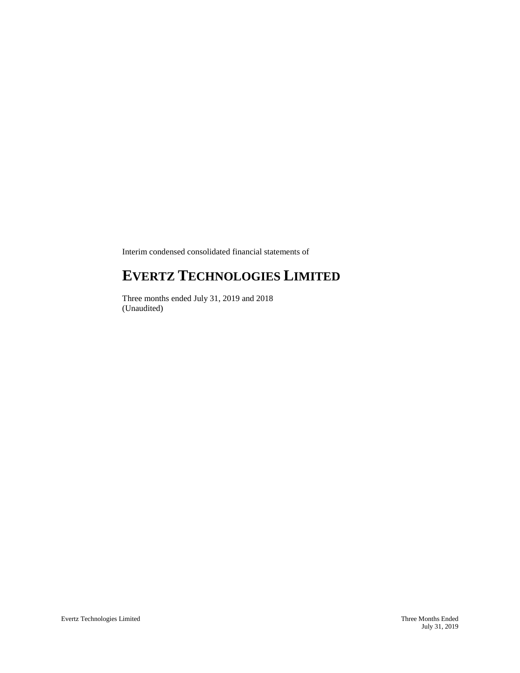Interim condensed consolidated financial statements of

# **EVERTZ TECHNOLOGIES LIMITED**

Three months ended July 31, 2019 and 2018 (Unaudited)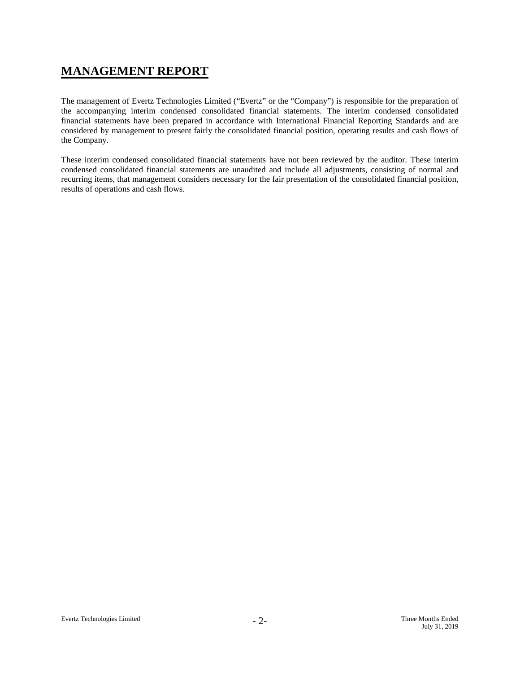# **MANAGEMENT REPORT**

The management of Evertz Technologies Limited ("Evertz" or the "Company") is responsible for the preparation of the accompanying interim condensed consolidated financial statements. The interim condensed consolidated financial statements have been prepared in accordance with International Financial Reporting Standards and are considered by management to present fairly the consolidated financial position, operating results and cash flows of the Company.

These interim condensed consolidated financial statements have not been reviewed by the auditor. These interim condensed consolidated financial statements are unaudited and include all adjustments, consisting of normal and recurring items, that management considers necessary for the fair presentation of the consolidated financial position, results of operations and cash flows.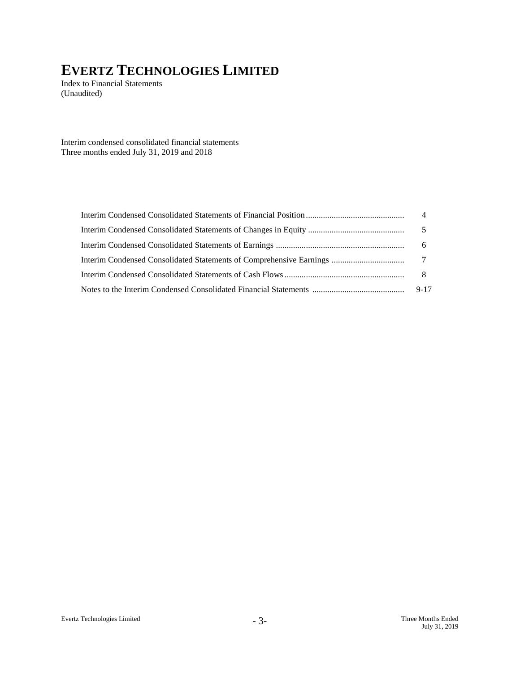Index to Financial Statements (Unaudited)

Interim condensed consolidated financial statements Three months ended July 31, 2019 and 2018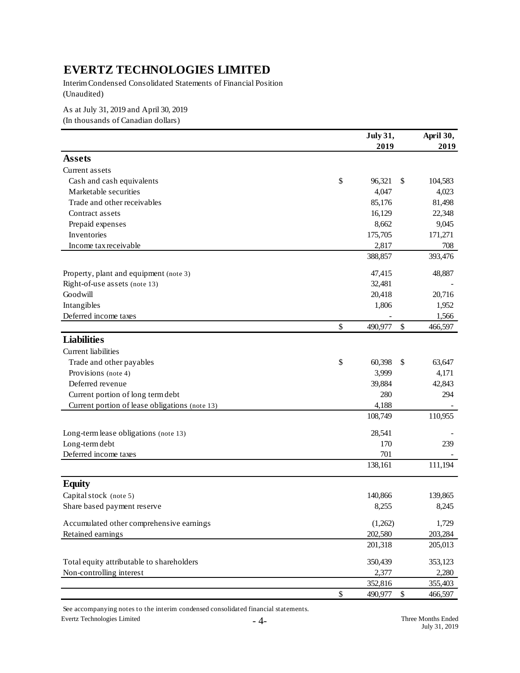Interim Condensed Consolidated Statements of Financial Position (Unaudited)

As at July 31, 2019 and April 30, 2019

(In thousands of Canadian dollars)

|                                                | <b>July 31,</b> |                           | April 30, |
|------------------------------------------------|-----------------|---------------------------|-----------|
|                                                | 2019            |                           | 2019      |
| <b>Assets</b>                                  |                 |                           |           |
| Current assets                                 |                 |                           |           |
| Cash and cash equivalents                      | \$<br>96,321    | $\boldsymbol{\mathsf{S}}$ | 104,583   |
| Marketable securities                          | 4,047           |                           | 4,023     |
| Trade and other receivables                    | 85,176          |                           | 81,498    |
| Contract assets                                | 16,129          |                           | 22,348    |
| Prepaid expenses                               | 8,662           |                           | 9,045     |
| Inventories                                    | 175,705         |                           | 171,271   |
| Income tax receivable                          | 2,817           |                           | 708       |
|                                                | 388,857         |                           | 393,476   |
| Property, plant and equipment (note 3)         | 47,415          |                           | 48,887    |
| Right-of-use assets (note 13)                  | 32,481          |                           |           |
| Goodwill                                       | 20,418          |                           | 20,716    |
| Intangibles                                    | 1,806           |                           | 1,952     |
| Deferred income taxes                          |                 |                           | 1,566     |
|                                                | \$<br>490,977   | $\boldsymbol{\mathsf{S}}$ | 466,597   |
| <b>Liabilities</b>                             |                 |                           |           |
| Current liabilities                            |                 |                           |           |
| Trade and other payables                       | \$<br>60,398    | $\mathbb{S}$              | 63,647    |
| Provisions (note 4)                            | 3,999           |                           | 4,171     |
| Deferred revenue                               | 39,884          |                           | 42,843    |
| Current portion of long term debt              | 280             |                           | 294       |
| Current portion of lease obligations (note 13) | 4,188           |                           |           |
|                                                | 108,749         |                           | 110,955   |
| Long-term lease obligations (note 13)          | 28,541          |                           |           |
| Long-term debt                                 | 170             |                           | 239       |
| Deferred income taxes                          | 701             |                           |           |
|                                                | 138,161         |                           | 111,194   |
| <b>Equity</b>                                  |                 |                           |           |
| Capital stock (note 5)                         | 140,866         |                           | 139,865   |
| Share based payment reserve                    | 8,255           |                           | 8,245     |
| Accumulated other comprehensive earnings       | (1,262)         |                           | 1,729     |
| Retained earnings                              | 202,580         |                           | 203,284   |
|                                                | 201,318         |                           | 205,013   |
| Total equity attributable to shareholders      | 350,439         |                           | 353,123   |
| Non-controlling interest                       | 2,377           |                           | 2,280     |
|                                                | 352,816         |                           | 355,403   |
|                                                | \$<br>490,977   | \$                        | 466,597   |

See accompanying notes to the interim condensed consolidated financial statements.

Evertz Technologies Limited - 4- Three Months Ended

July 31, 2019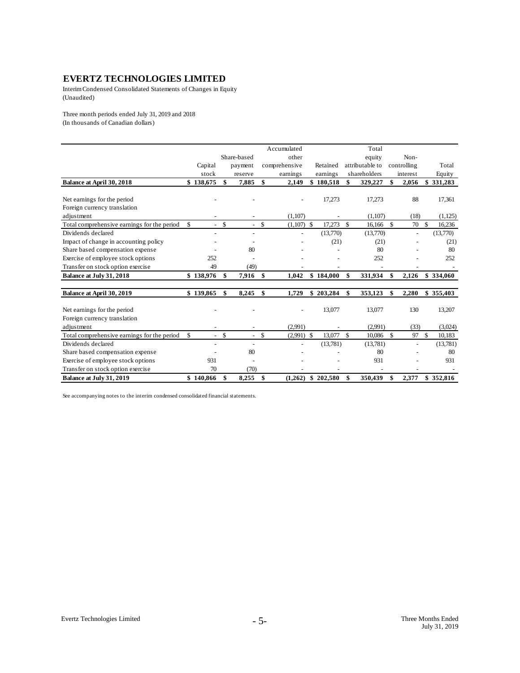Interim Condensed Consolidated Statements of Changes in Equity (Unaudited)

Three month periods ended July 31, 2019 and 2018 (In thousands of Canadian dollars)

|                                             |                                |                                   |               | Accumulated   |           |               | Total           |     |             |              |
|---------------------------------------------|--------------------------------|-----------------------------------|---------------|---------------|-----------|---------------|-----------------|-----|-------------|--------------|
|                                             |                                | Share-based                       |               | other         |           |               | equity          |     | Non-        |              |
|                                             | Capital                        | payment                           |               | comprehensive | Retained  |               | attributable to |     | controlling | Total        |
|                                             | stock                          | reserve                           |               | earnings      | earnings  |               | shareholders    |     | interest    | Equity       |
| Balance at April 30, 2018                   | \$138,675                      | \$<br>7,885                       | \$            | 2,149         | \$180,518 | \$            | 329,227         | \$  | 2,056       | \$331,283    |
|                                             |                                |                                   |               |               |           |               |                 |     |             |              |
| Net earnings for the period                 |                                |                                   |               |               | 17,273    |               | 17,273          |     | 88          | 17,361       |
| Foreign currency translation                |                                |                                   |               |               |           |               |                 |     |             |              |
| adjustment                                  | ۰                              | ۰                                 |               | (1,107)       |           |               | (1,107)         |     | (18)        | (1, 125)     |
| Total comprehensive earnings for the period | \$<br>$\sim$                   | \$<br>$\mathcal{L}^{\pm}$         | $\mathcal{S}$ | $(1,107)$ \$  | 17,273    | $\mathcal{S}$ | 16,166          | \$. | 70          | \$<br>16,236 |
| Dividends declared                          |                                | $\overline{\phantom{a}}$          |               |               | (13,770)  |               | (13,770)        |     |             | (13,770)     |
| Impact of change in accounting policy       |                                |                                   |               |               | (21)      |               | (21)            |     |             | (21)         |
| Share based compensation expense            |                                | 80                                |               |               |           |               | 80              |     |             | 80           |
| Exercise of employee stock options          | 252                            |                                   |               |               |           |               | 252             |     |             | 252          |
| Transfer on stock option exercise           | 49                             | (49)                              |               |               |           |               |                 |     |             |              |
| Balance at July 31, 2018                    | \$138,976                      | \$<br>7,916                       | \$            | 1.042         | \$184,000 | \$            | 331.934         | \$  | 2.126       | \$334,060    |
| Balance at April 30, 2019                   | \$139,865                      | \$<br>8,245                       | \$            | 1,729         | \$203,284 | \$            | 353,123         | \$  | 2,280       | \$355,403    |
|                                             |                                |                                   |               |               |           |               |                 |     |             |              |
| Net earnings for the period                 |                                |                                   |               |               | 13,077    |               | 13,077          |     | 130         | 13,207       |
| Foreign currency translation                |                                |                                   |               |               |           |               |                 |     |             |              |
| adjustment                                  |                                |                                   |               | (2,991)       |           |               | (2,991)         |     | (33)        | (3,024)      |
| Total comprehensive earnings for the period | \$<br>$\overline{\phantom{0}}$ | \$<br>$\mathcal{L}_{\mathcal{A}}$ | \$            | $(2,991)$ \$  | 13,077    | $\mathcal{S}$ | 10,086          | \$. | 97          | \$<br>10,183 |
| Dividends declared                          |                                |                                   |               |               | (13,781)  |               | (13,781)        |     |             | (13,781)     |
| Share based compensation expense            |                                | 80                                |               |               |           |               | 80              |     |             | 80           |
| Exercise of employee stock options          | 931                            |                                   |               |               |           |               | 931             |     |             | 931          |
| Transfer on stock option exercise           | 70                             | (70)                              |               |               |           |               |                 |     |             |              |
| Balance at July 31, 2019                    | \$140,866                      | \$<br>8,255                       | \$            | (1.262)       | \$202.580 | \$            | 350.439         | \$  | 2.377       | \$352.816    |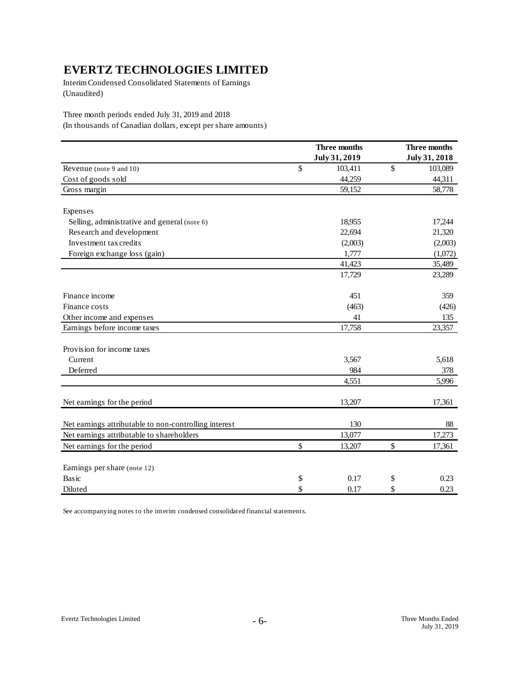Interim Condensed Consolidated Statements of Earnings (Unaudited)

Three month periods ended July 31, 2019 and 2018

(In thousands of Canadian dollars, except per share amounts)

|                                                       | Three months  | Three months  |
|-------------------------------------------------------|---------------|---------------|
|                                                       | July 31, 2019 | July 31, 2018 |
| Revenue (note 9 and 10)                               | \$<br>103,411 | \$<br>103,089 |
| Cost of goods sold                                    | 44,259        | 44,311        |
| Gross margin                                          | 59,152        | 58,778        |
| Expenses                                              |               |               |
| Selling, administrative and general (note 6)          | 18,955        | 17,244        |
| Research and development                              | 22,694        | 21,320        |
| Investment tax credits                                | (2,003)       | (2,003)       |
| Foreign exchange loss (gain)                          | 1,777         | (1,072)       |
|                                                       | 41,423        | 35,489        |
|                                                       | 17,729        | 23,289        |
| Finance income                                        | 451           | 359           |
| Finance costs                                         | (463)         | (426)         |
| Other income and expenses                             | 41            | 135           |
| Earnings before income taxes                          | 17,758        | 23,357        |
| Provision for income taxes                            |               |               |
| Current                                               | 3,567         | 5,618         |
| Deferred                                              | 984           | 378           |
|                                                       | 4,551         | 5,996         |
| Net earnings for the period                           | 13,207        | 17,361        |
| Net earnings attributable to non-controlling interest | 130           | 88            |
| Net earnings attributable to shareholders             | 13,077        | 17,273        |
| Net earnings for the period                           | \$<br>13,207  | \$<br>17,361  |
| Earnings per share (note 12)                          |               |               |
| Basic                                                 | \$<br>0.17    | \$<br>0.23    |
| Diluted                                               | \$<br>0.17    | \$<br>0.23    |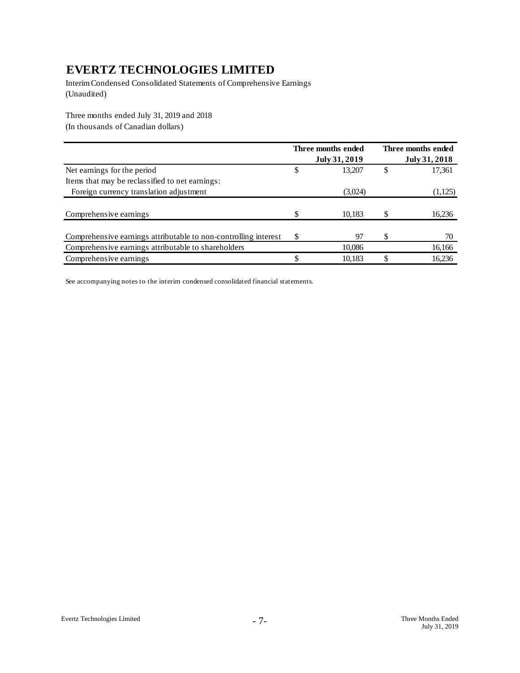Interim Condensed Consolidated Statements of Comprehensive Earnings (Unaudited)

Three months ended July 31, 2019 and 2018 (In thousands of Canadian dollars)

|                                                                 |          | Three months ended | Three months ended |
|-----------------------------------------------------------------|----------|--------------------|--------------------|
|                                                                 |          | July 31, 2019      | July 31, 2018      |
| Net earnings for the period                                     | \$       | 13,207             | \$<br>17,361       |
| Items that may be reclassified to net earnings:                 |          |                    |                    |
| Foreign currency translation adjustment                         |          | (3,024)            | (1,125)            |
|                                                                 |          |                    |                    |
| Comprehensive earnings                                          |          | 10,183             | 16,236             |
|                                                                 |          |                    |                    |
| Comprehensive earnings attributable to non-controlling interest | <b>S</b> | 97                 | 70                 |
| Comprehensive earnings attributable to shareholders             |          | 10.086             | 16,166             |
| Comprehensive earnings                                          |          | 10.183             | 16,236             |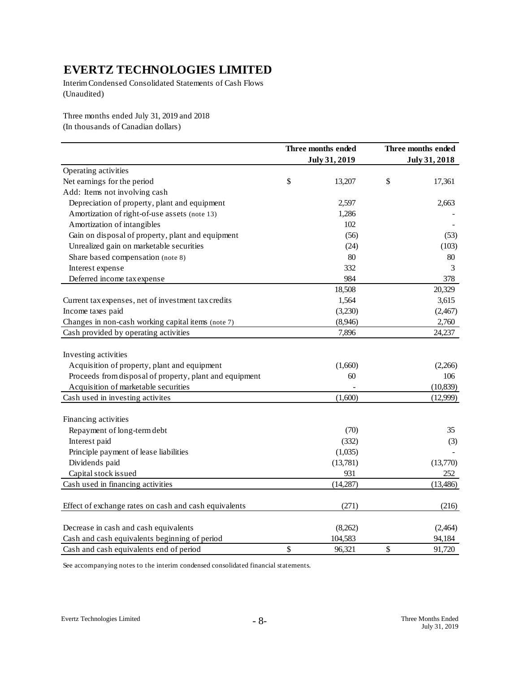Interim Condensed Consolidated Statements of Cash Flows (Unaudited)

Three months ended July 31, 2019 and 2018 (In thousands of Canadian dollars)

|                                                         | Three months ended<br>July 31, 2019 | Three months ended<br>July 31, 2018 |
|---------------------------------------------------------|-------------------------------------|-------------------------------------|
| Operating activities                                    |                                     |                                     |
| Net earnings for the period                             | \$<br>13,207                        | \$<br>17,361                        |
| Add: Items not involving cash                           |                                     |                                     |
| Depreciation of property, plant and equipment           | 2,597                               | 2,663                               |
| Amortization of right-of-use assets (note 13)           | 1,286                               |                                     |
| Amortization of intangibles                             | 102                                 |                                     |
| Gain on disposal of property, plant and equipment       | (56)                                | (53)                                |
| Unrealized gain on marketable securities                | (24)                                | (103)                               |
| Share based compensation (note 8)                       | 80                                  | 80                                  |
| Interest expense                                        | 332                                 | 3                                   |
| Deferred income tax expense                             | 984                                 | 378                                 |
|                                                         | 18,508                              | 20,329                              |
| Current tax expenses, net of investment tax credits     | 1,564                               | 3,615                               |
| Income taxes paid                                       | (3,230)                             | (2,467)                             |
| Changes in non-cash working capital items (note 7)      | (8,946)                             | 2,760                               |
| Cash provided by operating activities                   | 7,896                               | 24,237                              |
| Investing activities                                    |                                     |                                     |
| Acquisition of property, plant and equipment            | (1,660)                             | (2,266)                             |
| Proceeds from disposal of property, plant and equipment | 60                                  | 106                                 |
| Acquisition of marketable securities                    |                                     | (10, 839)                           |
| Cash used in investing activites                        | (1,600)                             | (12,999)                            |
| Financing activities                                    |                                     |                                     |
| Repayment of long-term debt                             | (70)                                | 35                                  |
| Interest paid                                           | (332)                               | (3)                                 |
| Principle payment of lease liabilities                  | (1,035)                             |                                     |
| Dividends paid                                          | (13,781)                            | (13,770)                            |
| Capital stock issued                                    | 931                                 | 252                                 |
| Cash used in financing activities                       | (14, 287)                           | (13, 486)                           |
| Effect of exchange rates on cash and cash equivalents   | (271)                               | (216)                               |
| Decrease in cash and cash equivalents                   | (8,262)                             | (2,464)                             |
| Cash and cash equivalents beginning of period           | 104,583                             | 94,184                              |
| Cash and cash equivalents end of period                 | \$<br>96,321                        | \$<br>91,720                        |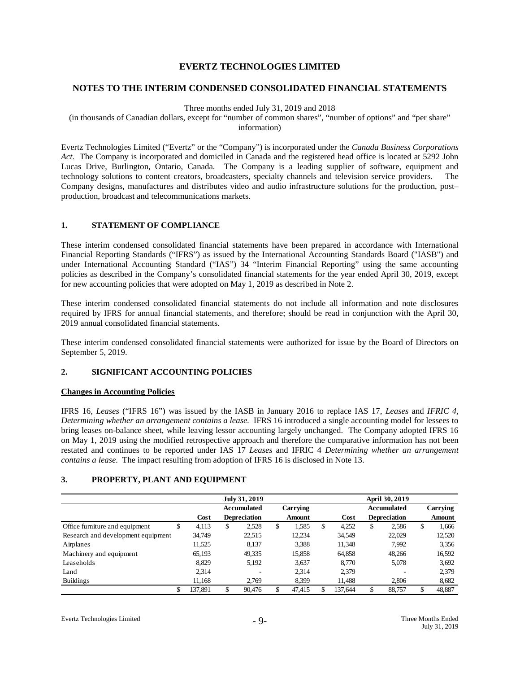### **NOTES TO THE INTERIM CONDENSED CONSOLIDATED FINANCIAL STATEMENTS**

Three months ended July 31, 2019 and 2018

(in thousands of Canadian dollars, except for "number of common shares", "number of options" and "per share" information)

Evertz Technologies Limited ("Evertz" or the "Company") is incorporated under the *Canada Business Corporations Act*. The Company is incorporated and domiciled in Canada and the registered head office is located at 5292 John Lucas Drive, Burlington, Ontario, Canada. The Company is a leading supplier of software, equipment and technology solutions to content creators, broadcasters, specialty channels and television service providers. The Company designs, manufactures and distributes video and audio infrastructure solutions for the production, post– production, broadcast and telecommunications markets.

### **1. STATEMENT OF COMPLIANCE**

These interim condensed consolidated financial statements have been prepared in accordance with International Financial Reporting Standards ("IFRS") as issued by the International Accounting Standards Board ("IASB") and under International Accounting Standard ("IAS") 34 "Interim Financial Reporting" using the same accounting policies as described in the Company's consolidated financial statements for the year ended April 30, 2019, except for new accounting policies that were adopted on May 1, 2019 as described in Note 2.

These interim condensed consolidated financial statements do not include all information and note disclosures required by IFRS for annual financial statements, and therefore; should be read in conjunction with the April 30, 2019 annual consolidated financial statements.

These interim condensed consolidated financial statements were authorized for issue by the Board of Directors on September 5, 2019.

# **2. SIGNIFICANT ACCOUNTING POLICIES**

#### **Changes in Accounting Policies**

IFRS 16, *Leases* ("IFRS 16") was issued by the IASB in January 2016 to replace IAS 17, *Leases* and *IFRIC 4, Determining whether an arrangement contains a lease.* IFRS 16 introduced a single accounting model for lessees to bring leases on-balance sheet, while leaving lessor accounting largely unchanged. The Company adopted IFRS 16 on May 1, 2019 using the modified retrospective approach and therefore the comparative information has not been restated and continues to be reported under IAS 17 *Leases* and IFRIC 4 *Determining whether an arrangement contains a lease.* The impact resulting from adoption of IFRS 16 is disclosed in Note 13.

#### **3. PROPERTY, PLANT AND EQUIPMENT**

|                                     |         |   | July 31, 2019       | April 30, 2019 |   |             |    |                     |    |          |
|-------------------------------------|---------|---|---------------------|----------------|---|-------------|----|---------------------|----|----------|
|                                     |         |   | <b>Accumulated</b>  | Carrving       |   | Accumulated |    |                     |    | Carrying |
|                                     | Cost    |   | <b>Depreciation</b> | Amount         |   | Cost        |    | <b>Depreciation</b> |    | Amount   |
| Office furniture and equipment<br>D | 4.113   | S | 2,528               | \$<br>1,585    | S | 4,252       | \$ | 2,586               | \$ | 1,666    |
| Research and development equipment  | 34,749  |   | 22,515              | 12,234         |   | 34,549      |    | 22,029              |    | 12,520   |
| Airplanes                           | 11,525  |   | 8.137               | 3,388          |   | 11,348      |    | 7.992               |    | 3,356    |
| Machinery and equipment             | 65,193  |   | 49,335              | 15,858         |   | 64,858      |    | 48,266              |    | 16,592   |
| Leaseholds                          | 8,829   |   | 5,192               | 3,637          |   | 8.770       |    | 5,078               |    | 3,692    |
| Land                                | 2.314   |   |                     | 2,314          |   | 2.379       |    |                     |    | 2,379    |
| <b>Buildings</b>                    | 11,168  |   | 2.769               | 8,399          |   | 11,488      |    | 2.806               |    | 8,682    |
| \$                                  | 137.891 |   | 90.476              | 47.415         |   | 137.644     | \$ | 88,757              |    | 48,887   |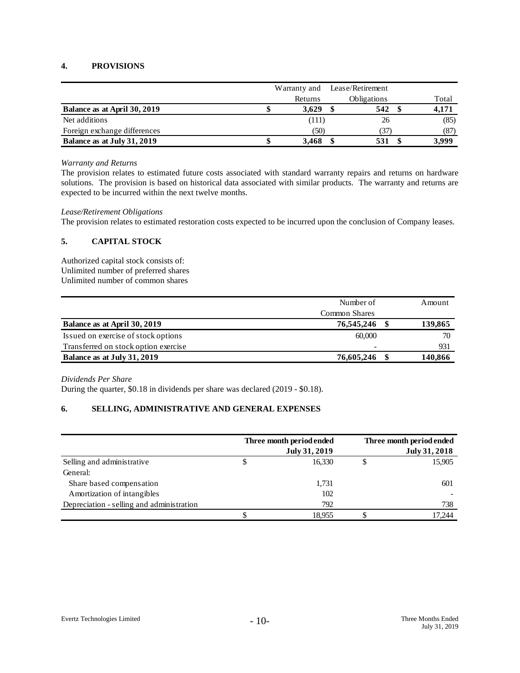# **4. PROVISIONS**

|                              | Warranty and | Lease/Retirement |       |
|------------------------------|--------------|------------------|-------|
|                              | Returns      | Obligations      | Total |
| Balance as at April 30, 2019 | 3.629        | 542              | 4,171 |
| Net additions                | (111)        | 26               | (85)  |
| Foreign exchange differences | (50)         | (37)             | (87)  |
| Balance as at July 31, 2019  | 3.468        | 531              | 3.999 |

#### *Warranty and Returns*

The provision relates to estimated future costs associated with standard warranty repairs and returns on hardware solutions. The provision is based on historical data associated with similar products. The warranty and returns are expected to be incurred within the next twelve months.

### *Lease/Retirement Obligations*

The provision relates to estimated restoration costs expected to be incurred upon the conclusion of Company leases.

# **5. CAPITAL STOCK**

Authorized capital stock consists of: Unlimited number of preferred shares Unlimited number of common shares

|                                            | Number of |  |         |  |
|--------------------------------------------|-----------|--|---------|--|
| Common Shares                              |           |  |         |  |
| 76,545,246<br>Balance as at April 30, 2019 |           |  | 139,865 |  |
| Issued on exercise of stock options        | 60,000    |  | 70      |  |
| Transferred on stock option exercise       |           |  | 931     |  |
| Balance as at July 31, 2019<br>76,605,246  |           |  | 140,866 |  |

*Dividends Per Share*

During the quarter, \$0.18 in dividends per share was declared (2019 - \$0.18).

# **6. SELLING, ADMINISTRATIVE AND GENERAL EXPENSES**

|                                           |   | Three month period ended<br>July 31, 2019 | Three month period ended<br><b>July 31, 2018</b> |
|-------------------------------------------|---|-------------------------------------------|--------------------------------------------------|
| Selling and administrative                | Φ | 16,330                                    | 15,905                                           |
| General:                                  |   |                                           |                                                  |
| Share based compensation                  |   | 1,731                                     | 601                                              |
| Amortization of intangibles               |   | 102                                       |                                                  |
| Depreciation - selling and administration |   | 792                                       | 738                                              |
|                                           |   | 18.955                                    | 17,244                                           |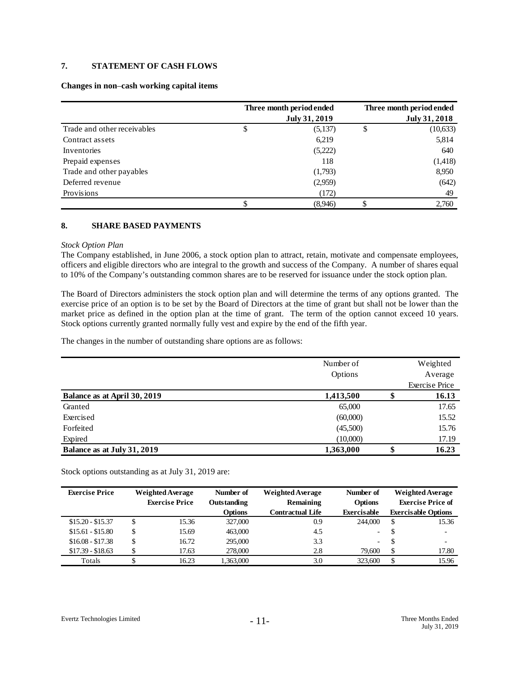# **7. STATEMENT OF CASH FLOWS**

#### **Changes in non**–**cash working capital items**

|                             | Three month period ended<br>July 31, 2019 |   | Three month period ended<br>July 31, 2018 |
|-----------------------------|-------------------------------------------|---|-------------------------------------------|
| Trade and other receivables | \$<br>(5,137)                             | J | (10, 633)                                 |
| Contract assets             | 6,219                                     |   | 5,814                                     |
| Inventories                 | (5,222)                                   |   | 640                                       |
| Prepaid expenses            | 118                                       |   | (1,418)                                   |
| Trade and other payables    | (1,793)                                   |   | 8,950                                     |
| Deferred revenue            | (2,959)                                   |   | (642)                                     |
| Provisions                  | (172)                                     |   | 49                                        |
|                             | (8,946)                                   |   | 2,760                                     |

# **8. SHARE BASED PAYMENTS**

#### *Stock Option Plan*

The Company established, in June 2006, a stock option plan to attract, retain, motivate and compensate employees, officers and eligible directors who are integral to the growth and success of the Company. A number of shares equal to 10% of the Company's outstanding common shares are to be reserved for issuance under the stock option plan.

The Board of Directors administers the stock option plan and will determine the terms of any options granted. The exercise price of an option is to be set by the Board of Directors at the time of grant but shall not be lower than the market price as defined in the option plan at the time of grant. The term of the option cannot exceed 10 years. Stock options currently granted normally fully vest and expire by the end of the fifth year.

The changes in the number of outstanding share options are as follows:

|                              | Number of<br>Options |   | Weighted<br>Average |
|------------------------------|----------------------|---|---------------------|
|                              |                      |   | Exercise Price      |
| Balance as at April 30, 2019 | 1,413,500            |   | 16.13               |
| Granted                      | 65,000               |   | 17.65               |
| Exercised                    | (60,000)             |   | 15.52               |
| Forfeited                    | (45,500)             |   | 15.76               |
| Expired                      | (10,000)             |   | 17.19               |
| Balance as at July 31, 2019  | 1,363,000            | D | 16.23               |

Stock options outstanding as at July 31, 2019 are:

| <b>Exercise Price</b> | <b>Weighted Average</b><br><b>Exercise Price</b> |       | Number of<br>Outstanding | <b>Weighted Average</b><br>Remaining | Number of<br><b>Options</b> |    | <b>Weighted Average</b><br><b>Exercise Price of</b> |  |
|-----------------------|--------------------------------------------------|-------|--------------------------|--------------------------------------|-----------------------------|----|-----------------------------------------------------|--|
|                       |                                                  |       | <b>Options</b>           | Contractual Life                     | Exercisable                 |    | <b>Exercisable Options</b>                          |  |
| $$15.20 - $15.37$     |                                                  | 15.36 | 327,000                  | 0.9                                  | 244,000                     | S  | 15.36                                               |  |
| $$15.61 - $15.80$     |                                                  | 15.69 | 463,000                  | 4.5                                  | ٠                           | S  | $\overline{\phantom{0}}$                            |  |
| $$16.08 - $17.38$     |                                                  | 16.72 | 295,000                  | 3.3                                  | ٠                           | S  | $\overline{\phantom{0}}$                            |  |
| $$17.39 - $18.63$     |                                                  | 17.63 | 278,000                  | 2.8                                  | 79.600                      | S  | 17.80                                               |  |
| Totals                |                                                  | 16.23 | 1.363.000                | 3.0                                  | 323,600                     | \$ | 15.96                                               |  |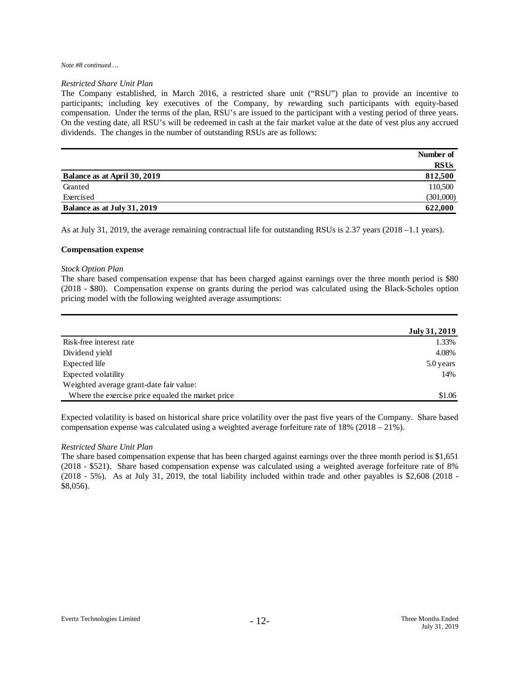#### *Note #8 continued …*

#### *Restricted Share Unit Plan*

The Company established, in March 2016, a restricted share unit ("RSU") plan to provide an incentive to participants; including key executives of the Company, by rewarding such participants with equity-based compensation. Under the terms of the plan, RSU's are issued to the participant with a vesting period of three years. On the vesting date, all RSU's will be redeemed in cash at the fair market value at the date of vest plus any accrued dividends. The changes in the number of outstanding RSUs are as follows:

|                              | Number of   |
|------------------------------|-------------|
|                              | <b>RSUs</b> |
| Balance as at April 30, 2019 | 812,500     |
| Granted                      | 110,500     |
| Exercised                    | (301,000)   |
| Balance as at July 31, 2019  | 622,000     |

As at July 31, 2019, the average remaining contractual life for outstanding RSUs is 2.37 years (2018 –1.1 years).

#### **Compensation expense**

#### *Stock Option Plan*

The share based compensation expense that has been charged against earnings over the three month period is \$80 (2018 - \$80). Compensation expense on grants during the period was calculated using the Black-Scholes option pricing model with the following weighted average assumptions:

|                                                   | July 31, 2019 |
|---------------------------------------------------|---------------|
| Risk-free interest rate                           | 1.33%         |
| Dividend yield                                    | 4.08%         |
| Expected life                                     | 5.0 years     |
| Expected volatility                               | 14%           |
| Weighted average grant-date fair value:           |               |
| Where the exercise price equaled the market price | \$1.06        |

Expected volatility is based on historical share price volatility over the past five years of the Company. Share based compensation expense was calculated using a weighted average forfeiture rate of 18% (2018 – 21%).

#### *Restricted Share Unit Plan*

The share based compensation expense that has been charged against earnings over the three month period is \$1,651 (2018 - \$521). Share based compensation expense was calculated using a weighted average forfeiture rate of 8% (2018 - 5%). As at July 31, 2019, the total liability included within trade and other payables is \$2,608 (2018 - \$8,056).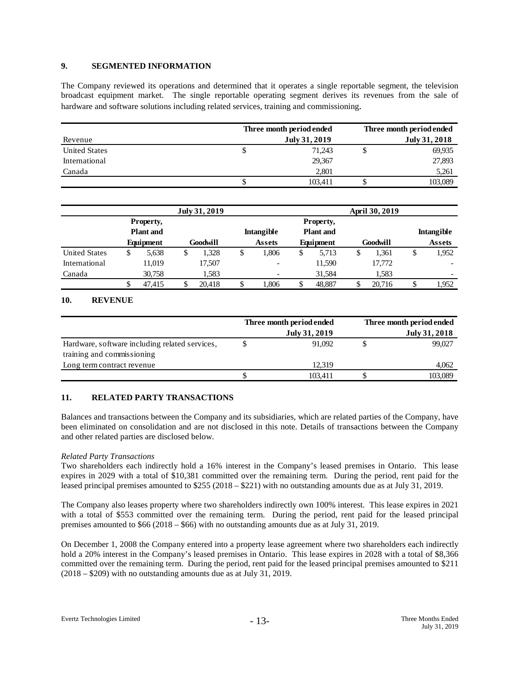# **9. SEGMENTED INFORMATION**

The Company reviewed its operations and determined that it operates a single reportable segment, the television broadcast equipment market. The single reportable operating segment derives its revenues from the sale of hardware and software solutions including related services, training and commissioning.

|                      |   | Three month period ended | Three month period ended |               |  |  |
|----------------------|---|--------------------------|--------------------------|---------------|--|--|
| Revenue              |   | July 31, 2019            |                          | July 31, 2018 |  |  |
| <b>United States</b> | J | 71.243                   |                          | 69,935        |  |  |
| International        |   | 29.367                   |                          | 27,893        |  |  |
| Canada               |   | 2.801                    |                          | 5,261         |  |  |
|                      |   | 103.411                  |                          | 103,089       |  |  |

|                      | July 31, 2019                                     |        |   |                 |    |                          | April 30, 2019 |                                            |    |          |    |                          |  |
|----------------------|---------------------------------------------------|--------|---|-----------------|----|--------------------------|----------------|--------------------------------------------|----|----------|----|--------------------------|--|
|                      | <b>Property,</b><br><b>Plant</b> and<br>Equipment |        |   | <b>Goodwill</b> |    | <b>Intangible</b>        |                | Property,<br><b>Plant</b> and<br>Equipment |    | Goodwill |    | <b>Intangible</b>        |  |
|                      |                                                   |        |   |                 |    | <b>Assets</b><br>.806    |                |                                            |    |          |    | <b>Assets</b>            |  |
| <b>United States</b> | \$                                                | 5,638  | Ъ | 1,328           | \$ |                          | S              | 5,713                                      | \$ | 1.361    | \$ | 1,952                    |  |
| International        |                                                   | 11.019 |   | 17,507          |    | $\overline{\phantom{a}}$ |                | 11,590                                     |    | 17,772   |    | $\overline{\phantom{a}}$ |  |
| Canada               |                                                   | 30,758 |   | 1,583           |    |                          |                | 31,584                                     |    | 1,583    |    |                          |  |
|                      | \$                                                | 47.415 |   | 20.418          | J  | 1.806                    |                | 48.887                                     | \$ | 20.716   | Φ  | 1.952                    |  |

# **10. REVENUE**

|                                                | Three month period ended | Three month period ended |
|------------------------------------------------|--------------------------|--------------------------|
|                                                | July 31, 2019            | <b>July 31, 2018</b>     |
| Hardware, software including related services, | 91.092                   | 99,027                   |
| training and commissioning                     |                          |                          |
| Long term contract revenue                     | 12.319                   | 4,062                    |
|                                                | 103.411                  | 103,089                  |

# **11. RELATED PARTY TRANSACTIONS**

Balances and transactions between the Company and its subsidiaries, which are related parties of the Company, have been eliminated on consolidation and are not disclosed in this note. Details of transactions between the Company and other related parties are disclosed below.

# *Related Party Transactions*

Two shareholders each indirectly hold a 16% interest in the Company's leased premises in Ontario. This lease expires in 2029 with a total of \$10,381 committed over the remaining term. During the period, rent paid for the leased principal premises amounted to \$255 (2018 – \$221) with no outstanding amounts due as at July 31, 2019.

The Company also leases property where two shareholders indirectly own 100% interest. This lease expires in 2021 with a total of \$553 committed over the remaining term. During the period, rent paid for the leased principal premises amounted to \$66 (2018 – \$66) with no outstanding amounts due as at July 31, 2019.

On December 1, 2008 the Company entered into a property lease agreement where two shareholders each indirectly hold a 20% interest in the Company's leased premises in Ontario. This lease expires in 2028 with a total of \$8,366 committed over the remaining term. During the period, rent paid for the leased principal premises amounted to \$211 (2018 – \$209) with no outstanding amounts due as at July 31, 2019.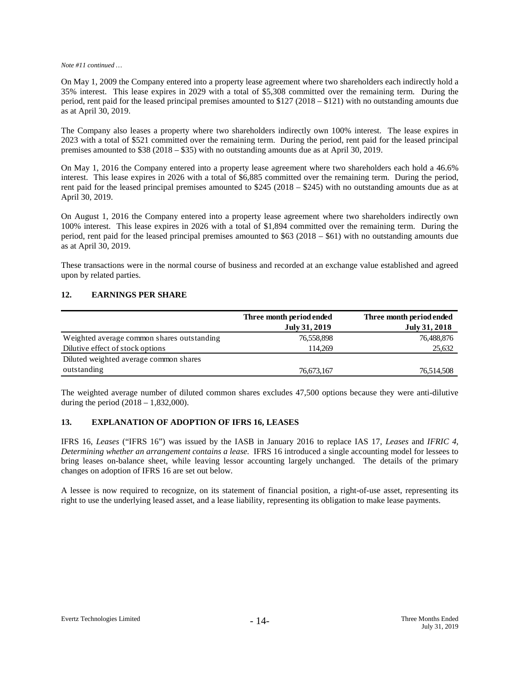#### *Note #11 continued …*

On May 1, 2009 the Company entered into a property lease agreement where two shareholders each indirectly hold a 35% interest. This lease expires in 2029 with a total of \$5,308 committed over the remaining term. During the period, rent paid for the leased principal premises amounted to \$127 (2018 – \$121) with no outstanding amounts due as at April 30, 2019.

The Company also leases a property where two shareholders indirectly own 100% interest. The lease expires in 2023 with a total of \$521 committed over the remaining term. During the period, rent paid for the leased principal premises amounted to \$38 (2018 – \$35) with no outstanding amounts due as at April 30, 2019.

On May 1, 2016 the Company entered into a property lease agreement where two shareholders each hold a 46.6% interest. This lease expires in 2026 with a total of \$6,885 committed over the remaining term. During the period, rent paid for the leased principal premises amounted to \$245 (2018 – \$245) with no outstanding amounts due as at April 30, 2019.

On August 1, 2016 the Company entered into a property lease agreement where two shareholders indirectly own 100% interest. This lease expires in 2026 with a total of \$1,894 committed over the remaining term. During the period, rent paid for the leased principal premises amounted to \$63 (2018 – \$61) with no outstanding amounts due as at April 30, 2019.

These transactions were in the normal course of business and recorded at an exchange value established and agreed upon by related parties.

# **12. EARNINGS PER SHARE**

|                                            | Three month period ended<br>July 31, 2019 | Three month period ended<br>July 31, 2018 |
|--------------------------------------------|-------------------------------------------|-------------------------------------------|
| Weighted average common shares outstanding | 76,558,898                                | 76,488,876                                |
| Dilutive effect of stock options           | 114.269                                   | 25,632                                    |
| Diluted weighted average common shares     |                                           |                                           |
| outstanding                                | 76,673,167                                | 76,514,508                                |

The weighted average number of diluted common shares excludes 47,500 options because they were anti-dilutive during the period  $(2018 - 1,832,000)$ .

# **13. EXPLANATION OF ADOPTION OF IFRS 16, LEASES**

IFRS 16, *Leases* ("IFRS 16") was issued by the IASB in January 2016 to replace IAS 17, *Leases* and *IFRIC 4, Determining whether an arrangement contains a lease.* IFRS 16 introduced a single accounting model for lessees to bring leases on-balance sheet, while leaving lessor accounting largely unchanged. The details of the primary changes on adoption of IFRS 16 are set out below.

A lessee is now required to recognize, on its statement of financial position, a right-of-use asset, representing its right to use the underlying leased asset, and a lease liability, representing its obligation to make lease payments.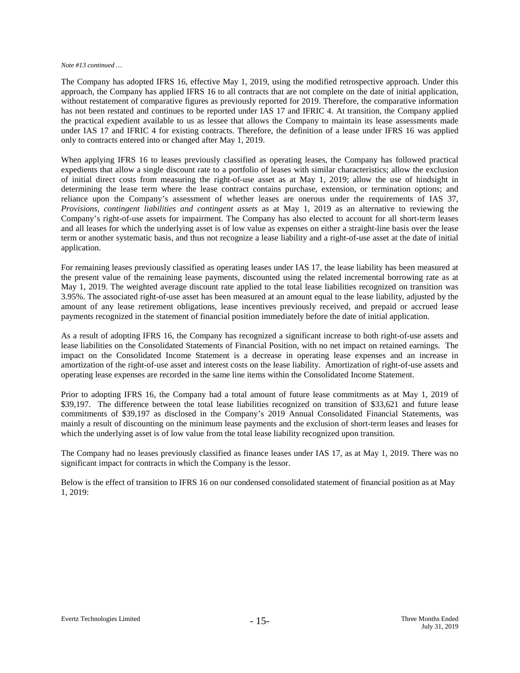#### *Note #13 continued …*

The Company has adopted IFRS 16, effective May 1, 2019, using the modified retrospective approach. Under this approach, the Company has applied IFRS 16 to all contracts that are not complete on the date of initial application, without restatement of comparative figures as previously reported for 2019. Therefore, the comparative information has not been restated and continues to be reported under IAS 17 and IFRIC 4. At transition, the Company applied the practical expedient available to us as lessee that allows the Company to maintain its lease assessments made under IAS 17 and IFRIC 4 for existing contracts. Therefore, the definition of a lease under IFRS 16 was applied only to contracts entered into or changed after May 1, 2019.

When applying IFRS 16 to leases previously classified as operating leases, the Company has followed practical expedients that allow a single discount rate to a portfolio of leases with similar characteristics; allow the exclusion of initial direct costs from measuring the right-of-use asset as at May 1, 2019; allow the use of hindsight in determining the lease term where the lease contract contains purchase, extension, or termination options; and reliance upon the Company's assessment of whether leases are onerous under the requirements of IAS 37, *Provisions, contingent liabilities and contingent assets* as at May 1, 2019 as an alternative to reviewing the Company's right-of-use assets for impairment. The Company has also elected to account for all short-term leases and all leases for which the underlying asset is of low value as expenses on either a straight-line basis over the lease term or another systematic basis, and thus not recognize a lease liability and a right-of-use asset at the date of initial application.

For remaining leases previously classified as operating leases under IAS 17, the lease liability has been measured at the present value of the remaining lease payments, discounted using the related incremental borrowing rate as at May 1, 2019. The weighted average discount rate applied to the total lease liabilities recognized on transition was 3.95%. The associated right-of-use asset has been measured at an amount equal to the lease liability, adjusted by the amount of any lease retirement obligations, lease incentives previously received, and prepaid or accrued lease payments recognized in the statement of financial position immediately before the date of initial application.

As a result of adopting IFRS 16, the Company has recognized a significant increase to both right-of-use assets and lease liabilities on the Consolidated Statements of Financial Position, with no net impact on retained earnings. The impact on the Consolidated Income Statement is a decrease in operating lease expenses and an increase in amortization of the right-of-use asset and interest costs on the lease liability. Amortization of right-of-use assets and operating lease expenses are recorded in the same line items within the Consolidated Income Statement.

Prior to adopting IFRS 16, the Company had a total amount of future lease commitments as at May 1, 2019 of \$39,197. The difference between the total lease liabilities recognized on transition of \$33,621 and future lease commitments of \$39,197 as disclosed in the Company's 2019 Annual Consolidated Financial Statements, was mainly a result of discounting on the minimum lease payments and the exclusion of short-term leases and leases for which the underlying asset is of low value from the total lease liability recognized upon transition.

The Company had no leases previously classified as finance leases under IAS 17, as at May 1, 2019. There was no significant impact for contracts in which the Company is the lessor.

Below is the effect of transition to IFRS 16 on our condensed consolidated statement of financial position as at May 1, 2019: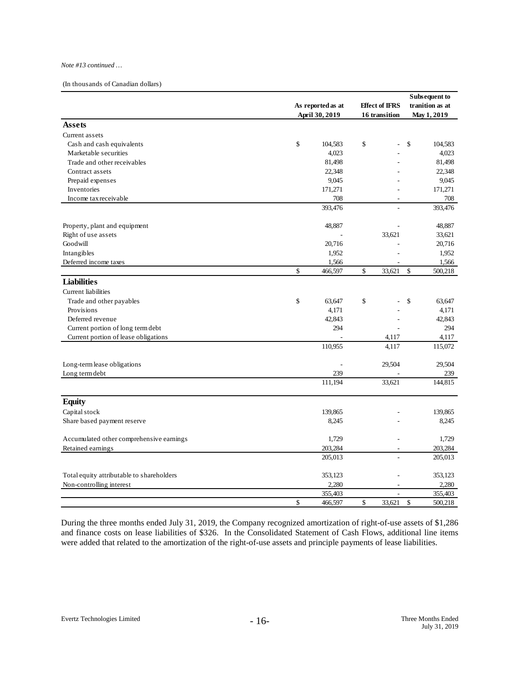#### *Note #13 continued …*

(In thousands of Canadian dollars)

|                                           |                | As reported as at |    | <b>Effect of IFRS</b>    |    | Subsequent to<br>tranition as at |  |
|-------------------------------------------|----------------|-------------------|----|--------------------------|----|----------------------------------|--|
|                                           | April 30, 2019 |                   |    | 16 transition            |    | May 1, 2019                      |  |
| <b>Assets</b>                             |                |                   |    |                          |    |                                  |  |
| Current assets                            |                |                   |    |                          |    |                                  |  |
| Cash and cash equivalents                 | \$             | 104,583           | \$ |                          | \$ | 104,583                          |  |
| Marketable securities                     |                | 4,023             |    |                          |    | 4,023                            |  |
| Trade and other receivables               |                | 81,498            |    |                          |    | 81,498                           |  |
| Contract assets                           |                | 22,348            |    |                          |    | 22,348                           |  |
| Prepaid expenses                          |                | 9,045             |    |                          |    | 9,045                            |  |
| Inventories                               |                | 171,271           |    |                          |    | 171,271                          |  |
| Income tax receivable                     |                | 708               |    | $\overline{\phantom{a}}$ |    | 708                              |  |
|                                           |                | 393,476           |    |                          |    | 393,476                          |  |
| Property, plant and equipment             |                | 48,887            |    |                          |    | 48.887                           |  |
| Right of use assets                       |                |                   |    | 33,621                   |    | 33,621                           |  |
| Goodwill                                  |                | 20,716            |    |                          |    | 20,716                           |  |
| Intangibles                               |                | 1,952             |    |                          |    | 1,952                            |  |
| Deferred income taxes                     |                | 1,566             |    |                          |    | 1,566                            |  |
|                                           | \$             | 466,597           | \$ | 33,621                   | \$ | 500,218                          |  |
| <b>Liabilities</b>                        |                |                   |    |                          |    |                                  |  |
| Current liabilities                       |                |                   |    |                          |    |                                  |  |
| Trade and other payables                  | \$             | 63,647            | \$ |                          | \$ | 63,647                           |  |
| Provisions                                |                | 4,171             |    |                          |    | 4,171                            |  |
| Deferred revenue                          |                | 42,843            |    |                          |    | 42,843                           |  |
| Current portion of long term debt         |                | 294               |    |                          |    | 294                              |  |
| Current portion of lease obligations      |                |                   |    | 4,117                    |    | 4,117                            |  |
|                                           |                | 110,955           |    | 4,117                    |    | 115,072                          |  |
| Long-term lease obligations               |                |                   |    | 29,504                   |    | 29,504                           |  |
| Long term debt                            |                | 239               |    |                          |    | 239                              |  |
|                                           |                | 111,194           |    | 33,621                   |    | 144,815                          |  |
| <b>Equity</b>                             |                |                   |    |                          |    |                                  |  |
| Capital stock                             |                | 139,865           |    |                          |    | 139,865                          |  |
| Share based payment reserve               |                | 8,245             |    |                          |    | 8,245                            |  |
|                                           |                |                   |    |                          |    |                                  |  |
| Accumulated other comprehensive earnings  |                | 1,729             |    | ÷                        |    | 1,729                            |  |
| Retained earnings                         |                | 203,284           |    | ÷,                       |    | 203,284                          |  |
|                                           |                | 205,013           |    |                          |    | 205,013                          |  |
| Total equity attributable to shareholders |                | 353,123           |    | ä,                       |    | 353,123                          |  |
| Non-controlling interest                  |                | 2,280             |    |                          |    | 2,280                            |  |
|                                           |                | 355,403           |    | $\overline{\phantom{a}}$ |    | 355,403                          |  |
|                                           | \$             | 466,597           | \$ | 33,621                   | \$ | 500,218                          |  |

During the three months ended July 31, 2019, the Company recognized amortization of right-of-use assets of \$1,286 and finance costs on lease liabilities of \$326. In the Consolidated Statement of Cash Flows, additional line items were added that related to the amortization of the right-of-use assets and principle payments of lease liabilities.